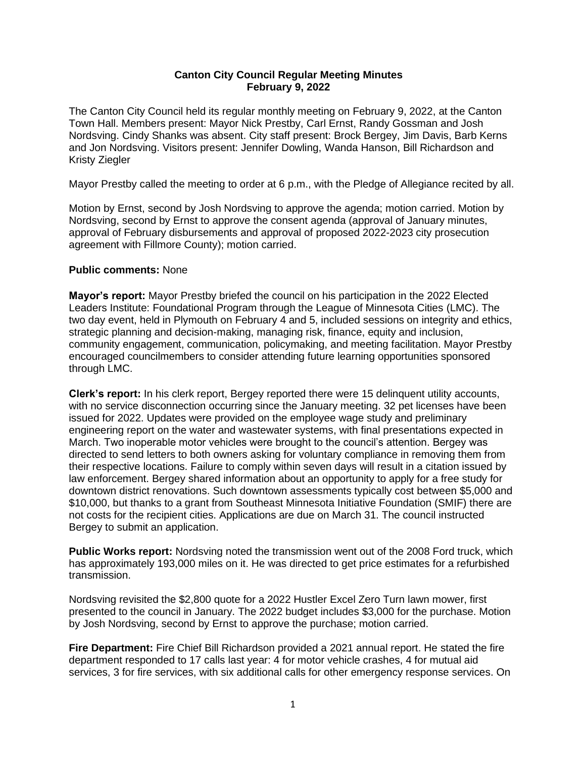# **Canton City Council Regular Meeting Minutes February 9, 2022**

The Canton City Council held its regular monthly meeting on February 9, 2022, at the Canton Town Hall. Members present: Mayor Nick Prestby, Carl Ernst, Randy Gossman and Josh Nordsving. Cindy Shanks was absent. City staff present: Brock Bergey, Jim Davis, Barb Kerns and Jon Nordsving. Visitors present: Jennifer Dowling, Wanda Hanson, Bill Richardson and Kristy Ziegler

Mayor Prestby called the meeting to order at 6 p.m., with the Pledge of Allegiance recited by all.

Motion by Ernst, second by Josh Nordsving to approve the agenda; motion carried. Motion by Nordsving, second by Ernst to approve the consent agenda (approval of January minutes, approval of February disbursements and approval of proposed 2022-2023 city prosecution agreement with Fillmore County); motion carried.

# **Public comments:** None

**Mayor's report:** Mayor Prestby briefed the council on his participation in the 2022 Elected Leaders Institute: Foundational Program through the League of Minnesota Cities (LMC). The two day event, held in Plymouth on February 4 and 5, included sessions on integrity and ethics, strategic planning and decision-making, managing risk, finance, equity and inclusion, community engagement, communication, policymaking, and meeting facilitation. Mayor Prestby encouraged councilmembers to consider attending future learning opportunities sponsored through LMC.

**Clerk's report:** In his clerk report, Bergey reported there were 15 delinquent utility accounts, with no service disconnection occurring since the January meeting. 32 pet licenses have been issued for 2022. Updates were provided on the employee wage study and preliminary engineering report on the water and wastewater systems, with final presentations expected in March. Two inoperable motor vehicles were brought to the council's attention. Bergey was directed to send letters to both owners asking for voluntary compliance in removing them from their respective locations. Failure to comply within seven days will result in a citation issued by law enforcement. Bergey shared information about an opportunity to apply for a free study for downtown district renovations. Such downtown assessments typically cost between \$5,000 and \$10,000, but thanks to a grant from Southeast Minnesota Initiative Foundation (SMIF) there are not costs for the recipient cities. Applications are due on March 31. The council instructed Bergey to submit an application.

**Public Works report:** Nordsving noted the transmission went out of the 2008 Ford truck, which has approximately 193,000 miles on it. He was directed to get price estimates for a refurbished transmission.

Nordsving revisited the \$2,800 quote for a 2022 Hustler Excel Zero Turn lawn mower, first presented to the council in January. The 2022 budget includes \$3,000 for the purchase. Motion by Josh Nordsving, second by Ernst to approve the purchase; motion carried.

**Fire Department:** Fire Chief Bill Richardson provided a 2021 annual report. He stated the fire department responded to 17 calls last year: 4 for motor vehicle crashes, 4 for mutual aid services, 3 for fire services, with six additional calls for other emergency response services. On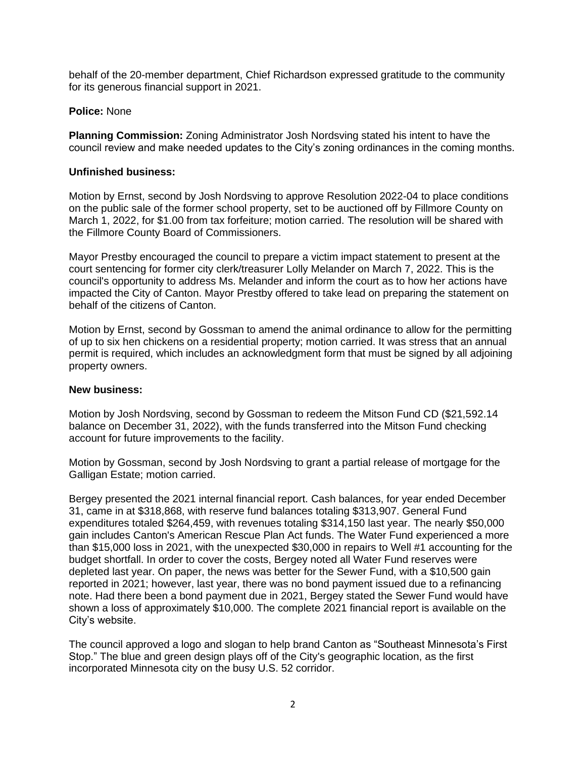behalf of the 20-member department, Chief Richardson expressed gratitude to the community for its generous financial support in 2021.

# **Police:** None

**Planning Commission:** Zoning Administrator Josh Nordsving stated his intent to have the council review and make needed updates to the City's zoning ordinances in the coming months.

# **Unfinished business:**

Motion by Ernst, second by Josh Nordsving to approve Resolution 2022-04 to place conditions on the public sale of the former school property, set to be auctioned off by Fillmore County on March 1, 2022, for \$1.00 from tax forfeiture; motion carried. The resolution will be shared with the Fillmore County Board of Commissioners.

Mayor Prestby encouraged the council to prepare a victim impact statement to present at the court sentencing for former city clerk/treasurer Lolly Melander on March 7, 2022. This is the council's opportunity to address Ms. Melander and inform the court as to how her actions have impacted the City of Canton. Mayor Prestby offered to take lead on preparing the statement on behalf of the citizens of Canton.

Motion by Ernst, second by Gossman to amend the animal ordinance to allow for the permitting of up to six hen chickens on a residential property; motion carried. It was stress that an annual permit is required, which includes an acknowledgment form that must be signed by all adjoining property owners.

### **New business:**

Motion by Josh Nordsving, second by Gossman to redeem the Mitson Fund CD (\$21,592.14 balance on December 31, 2022), with the funds transferred into the Mitson Fund checking account for future improvements to the facility.

Motion by Gossman, second by Josh Nordsving to grant a partial release of mortgage for the Galligan Estate; motion carried.

Bergey presented the 2021 internal financial report. Cash balances, for year ended December 31, came in at \$318,868, with reserve fund balances totaling \$313,907. General Fund expenditures totaled \$264,459, with revenues totaling \$314,150 last year. The nearly \$50,000 gain includes Canton's American Rescue Plan Act funds. The Water Fund experienced a more than \$15,000 loss in 2021, with the unexpected \$30,000 in repairs to Well #1 accounting for the budget shortfall. In order to cover the costs, Bergey noted all Water Fund reserves were depleted last year. On paper, the news was better for the Sewer Fund, with a \$10,500 gain reported in 2021; however, last year, there was no bond payment issued due to a refinancing note. Had there been a bond payment due in 2021, Bergey stated the Sewer Fund would have shown a loss of approximately \$10,000. The complete 2021 financial report is available on the City's website.

The council approved a logo and slogan to help brand Canton as "Southeast Minnesota's First Stop." The blue and green design plays off of the City's geographic location, as the first incorporated Minnesota city on the busy U.S. 52 corridor.